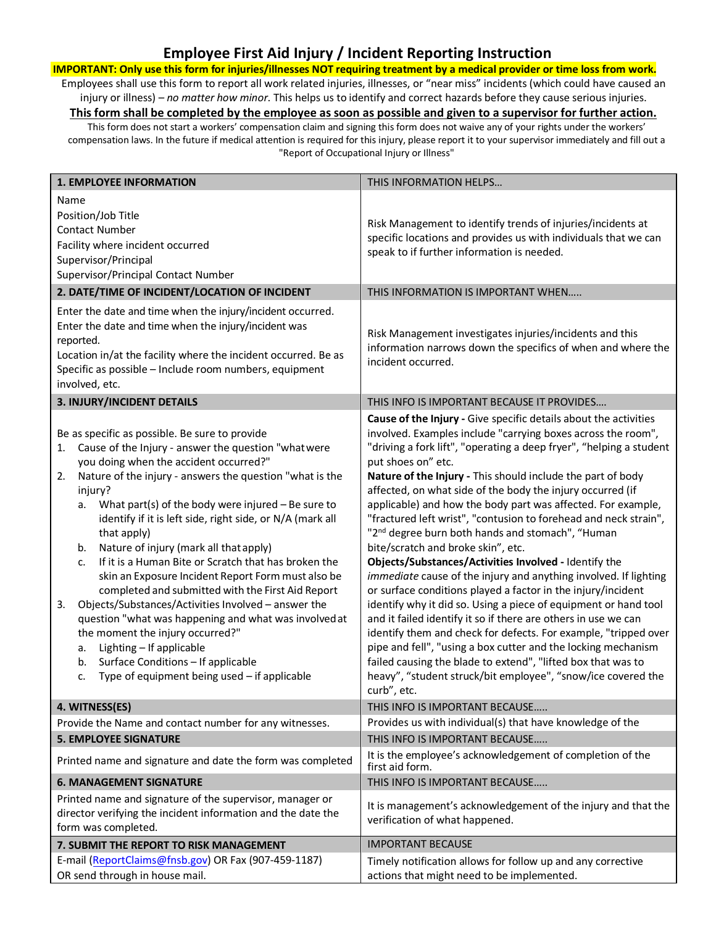## **Employee First Aid Injury / Incident Reporting Instruction**

**IMPORTANT: Only use this form for injuries/illnesses NOT requiring treatment by a medical provider or time loss from work.** Employees shall use this form to report all work related injuries, illnesses, or "near miss" incidents (which could have caused an injury or illness) – *no matter how minor*. This helps us to identify and correct hazards before they cause serious injuries.

**This form shall be completed by the employee as soon as possible and given to a supervisor for further action.** This form does not start a workers' compensation claim and signing this form does not waive any of your rights under the workers'

compensation laws. In the future if medical attention is required for this injury, please report it to your supervisor immediately and fill out a "Report of Occupational Injury or Illness"

|                | <b>1. EMPLOYEE INFORMATION</b>                                                                                                                                                                                                                                                                                                                                                                                                                                                                                                                                                                                                                                                                                                                                                                                                                                                     | THIS INFORMATION HELPS                                                                                                                                                                                                                                                                                                                                                                                                                                                                                                                                                                                                                                                                                                                                                                                                                                                                                                                                                                                                                                                                                                                                                                                                    |  |  |  |  |  |  |
|----------------|------------------------------------------------------------------------------------------------------------------------------------------------------------------------------------------------------------------------------------------------------------------------------------------------------------------------------------------------------------------------------------------------------------------------------------------------------------------------------------------------------------------------------------------------------------------------------------------------------------------------------------------------------------------------------------------------------------------------------------------------------------------------------------------------------------------------------------------------------------------------------------|---------------------------------------------------------------------------------------------------------------------------------------------------------------------------------------------------------------------------------------------------------------------------------------------------------------------------------------------------------------------------------------------------------------------------------------------------------------------------------------------------------------------------------------------------------------------------------------------------------------------------------------------------------------------------------------------------------------------------------------------------------------------------------------------------------------------------------------------------------------------------------------------------------------------------------------------------------------------------------------------------------------------------------------------------------------------------------------------------------------------------------------------------------------------------------------------------------------------------|--|--|--|--|--|--|
| Name           | Position/Job Title<br><b>Contact Number</b><br>Facility where incident occurred<br>Supervisor/Principal<br>Supervisor/Principal Contact Number<br>2. DATE/TIME OF INCIDENT/LOCATION OF INCIDENT                                                                                                                                                                                                                                                                                                                                                                                                                                                                                                                                                                                                                                                                                    | Risk Management to identify trends of injuries/incidents at<br>specific locations and provides us with individuals that we can<br>speak to if further information is needed.<br>THIS INFORMATION IS IMPORTANT WHEN                                                                                                                                                                                                                                                                                                                                                                                                                                                                                                                                                                                                                                                                                                                                                                                                                                                                                                                                                                                                        |  |  |  |  |  |  |
| reported.      | Enter the date and time when the injury/incident occurred.<br>Enter the date and time when the injury/incident was<br>Location in/at the facility where the incident occurred. Be as<br>Specific as possible - Include room numbers, equipment<br>involved, etc.                                                                                                                                                                                                                                                                                                                                                                                                                                                                                                                                                                                                                   | Risk Management investigates injuries/incidents and this<br>information narrows down the specifics of when and where the<br>incident occurred.                                                                                                                                                                                                                                                                                                                                                                                                                                                                                                                                                                                                                                                                                                                                                                                                                                                                                                                                                                                                                                                                            |  |  |  |  |  |  |
|                | 3. INJURY/INCIDENT DETAILS                                                                                                                                                                                                                                                                                                                                                                                                                                                                                                                                                                                                                                                                                                                                                                                                                                                         | THIS INFO IS IMPORTANT BECAUSE IT PROVIDES                                                                                                                                                                                                                                                                                                                                                                                                                                                                                                                                                                                                                                                                                                                                                                                                                                                                                                                                                                                                                                                                                                                                                                                |  |  |  |  |  |  |
| 1.<br>2.<br>3. | Be as specific as possible. Be sure to provide<br>Cause of the Injury - answer the question "what were<br>you doing when the accident occurred?"<br>Nature of the injury - answers the question "what is the<br>injury?<br>What part(s) of the body were injured $-$ Be sure to<br>а.<br>identify if it is left side, right side, or N/A (mark all<br>that apply)<br>Nature of injury (mark all that apply)<br>b.<br>If it is a Human Bite or Scratch that has broken the<br>c.<br>skin an Exposure Incident Report Form must also be<br>completed and submitted with the First Aid Report<br>Objects/Substances/Activities Involved - answer the<br>question "what was happening and what was involved at<br>the moment the injury occurred?"<br>Lighting - If applicable<br>a.<br>Surface Conditions - If applicable<br>b.<br>Type of equipment being used - if applicable<br>c. | Cause of the Injury - Give specific details about the activities<br>involved. Examples include "carrying boxes across the room",<br>"driving a fork lift", "operating a deep fryer", "helping a student<br>put shoes on" etc.<br>Nature of the Injury - This should include the part of body<br>affected, on what side of the body the injury occurred (if<br>applicable) and how the body part was affected. For example,<br>"fractured left wrist", "contusion to forehead and neck strain",<br>"2 <sup>nd</sup> degree burn both hands and stomach", "Human<br>bite/scratch and broke skin", etc.<br>Objects/Substances/Activities Involved - Identify the<br>immediate cause of the injury and anything involved. If lighting<br>or surface conditions played a factor in the injury/incident<br>identify why it did so. Using a piece of equipment or hand tool<br>and it failed identify it so if there are others in use we can<br>identify them and check for defects. For example, "tripped over<br>pipe and fell", "using a box cutter and the locking mechanism<br>failed causing the blade to extend", "lifted box that was to<br>heavy", "student struck/bit employee", "snow/ice covered the<br>curb", etc. |  |  |  |  |  |  |
|                | 4. WITNESS(ES)                                                                                                                                                                                                                                                                                                                                                                                                                                                                                                                                                                                                                                                                                                                                                                                                                                                                     | THIS INFO IS IMPORTANT BECAUSE                                                                                                                                                                                                                                                                                                                                                                                                                                                                                                                                                                                                                                                                                                                                                                                                                                                                                                                                                                                                                                                                                                                                                                                            |  |  |  |  |  |  |
|                | Provide the Name and contact number for any witnesses.                                                                                                                                                                                                                                                                                                                                                                                                                                                                                                                                                                                                                                                                                                                                                                                                                             | Provides us with individual(s) that have knowledge of the                                                                                                                                                                                                                                                                                                                                                                                                                                                                                                                                                                                                                                                                                                                                                                                                                                                                                                                                                                                                                                                                                                                                                                 |  |  |  |  |  |  |
|                | <b>5. EMPLOYEE SIGNATURE</b>                                                                                                                                                                                                                                                                                                                                                                                                                                                                                                                                                                                                                                                                                                                                                                                                                                                       | THIS INFO IS IMPORTANT BECAUSE                                                                                                                                                                                                                                                                                                                                                                                                                                                                                                                                                                                                                                                                                                                                                                                                                                                                                                                                                                                                                                                                                                                                                                                            |  |  |  |  |  |  |
|                | Printed name and signature and date the form was completed                                                                                                                                                                                                                                                                                                                                                                                                                                                                                                                                                                                                                                                                                                                                                                                                                         | It is the employee's acknowledgement of completion of the<br>first aid form.                                                                                                                                                                                                                                                                                                                                                                                                                                                                                                                                                                                                                                                                                                                                                                                                                                                                                                                                                                                                                                                                                                                                              |  |  |  |  |  |  |
|                | <b>6. MANAGEMENT SIGNATURE</b>                                                                                                                                                                                                                                                                                                                                                                                                                                                                                                                                                                                                                                                                                                                                                                                                                                                     | THIS INFO IS IMPORTANT BECAUSE                                                                                                                                                                                                                                                                                                                                                                                                                                                                                                                                                                                                                                                                                                                                                                                                                                                                                                                                                                                                                                                                                                                                                                                            |  |  |  |  |  |  |
|                | Printed name and signature of the supervisor, manager or<br>director verifying the incident information and the date the<br>form was completed.                                                                                                                                                                                                                                                                                                                                                                                                                                                                                                                                                                                                                                                                                                                                    | It is management's acknowledgement of the injury and that the<br>verification of what happened.                                                                                                                                                                                                                                                                                                                                                                                                                                                                                                                                                                                                                                                                                                                                                                                                                                                                                                                                                                                                                                                                                                                           |  |  |  |  |  |  |
|                | 7. SUBMIT THE REPORT TO RISK MANAGEMENT                                                                                                                                                                                                                                                                                                                                                                                                                                                                                                                                                                                                                                                                                                                                                                                                                                            | <b>IMPORTANT BECAUSE</b>                                                                                                                                                                                                                                                                                                                                                                                                                                                                                                                                                                                                                                                                                                                                                                                                                                                                                                                                                                                                                                                                                                                                                                                                  |  |  |  |  |  |  |
|                | E-mail (ReportClaims@fnsb.gov) OR Fax (907-459-1187)<br>OR send through in house mail.                                                                                                                                                                                                                                                                                                                                                                                                                                                                                                                                                                                                                                                                                                                                                                                             | Timely notification allows for follow up and any corrective<br>actions that might need to be implemented.                                                                                                                                                                                                                                                                                                                                                                                                                                                                                                                                                                                                                                                                                                                                                                                                                                                                                                                                                                                                                                                                                                                 |  |  |  |  |  |  |